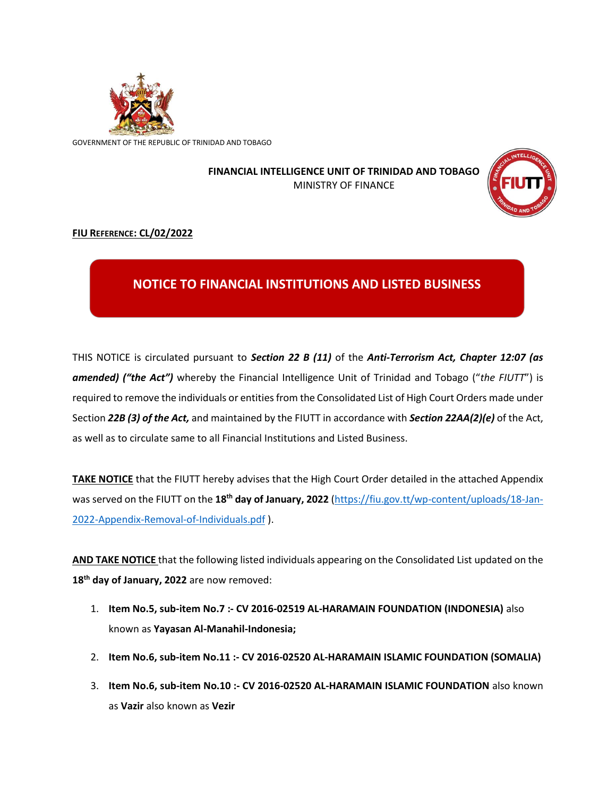

GOVERNMENT OF THE REPUBLIC OF TRINIDAD AND TOBAGO

## **FINANCIAL INTELLIGENCE UNIT OF TRINIDAD AND TOBAGO** MINISTRY OF FINANCE



## **FIU REFERENCE: CL/02/2022**

## **NOTICE TO FINANCIAL INSTITUTIONS AND LISTED BUSINESS**

THIS NOTICE is circulated pursuant to *Section 22 B (11)* of the *Anti-Terrorism Act, Chapter 12:07 (as amended) ("the Act")* whereby the Financial Intelligence Unit of Trinidad and Tobago ("*the FIUTT*") is required to remove the individuals or entities from the Consolidated List of High Court Orders made under Section *22B (3) of the Act,* and maintained by the FIUTT in accordance with *Section 22AA(2)(e)* of the Act, as well as to circulate same to all Financial Institutions and Listed Business.

**TAKE NOTICE** that the FIUTT hereby advises that the High Court Order detailed in the attached Appendix was served on the FIUTT on the **18th day of January, 2022** [\(https://fiu.gov.tt/wp-content/uploads/18-Jan-](https://fiu.gov.tt/wp-content/uploads/18-Jan-2022-Appendix-Removal-of-Individuals.pdf)[2022-Appendix-Removal-of-Individuals.pdf](https://fiu.gov.tt/wp-content/uploads/18-Jan-2022-Appendix-Removal-of-Individuals.pdf) ).

**AND TAKE NOTICE** that the following listed individuals appearing on the Consolidated List updated on the **18 th day of January, 2022** are now removed:

- 1. **Item No.5, sub-item No.7 :- CV 2016-02519 AL-HARAMAIN FOUNDATION (INDONESIA)** also known as **Yayasan Al-Manahil-Indonesia;**
- 2. **Item No.6, sub-item No.11 :- CV 2016-02520 AL-HARAMAIN ISLAMIC FOUNDATION (SOMALIA)**
- 3. **Item No.6, sub-item No.10 :- CV 2016-02520 AL-HARAMAIN ISLAMIC FOUNDATION** also known as **Vazir** also known as **Vezir**